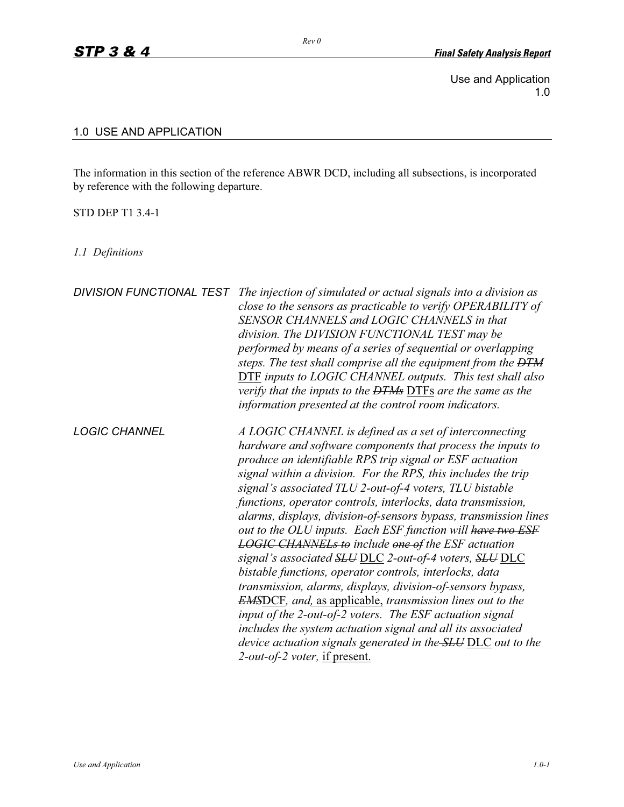Use and Application 1.0

## 1.0 USE AND APPLICATION

The information in this section of the reference ABWR DCD, including all subsections, is incorporated by reference with the following departure.

*Rev 0* 

## STD DEP T1 3.4-1

*1.1 Definitions* 

| <b>DIVISION FUNCTIONAL TEST</b> | The injection of simulated or actual signals into a division as<br>close to the sensors as practicable to verify OPERABILITY of<br>SENSOR CHANNELS and LOGIC CHANNELS in that<br>division. The DIVISION FUNCTIONAL TEST may be<br>performed by means of a series of sequential or overlapping<br>steps. The test shall comprise all the equipment from the <del>DTM</del><br><b>DTF</b> inputs to LOGIC CHANNEL outputs. This test shall also<br>verify that the inputs to the <del>DTMs</del> DTFs are the same as the<br>information presented at the control room indicators.                                                                                                                                                                                                                                                                                                                                                                                                                                                                                         |
|---------------------------------|--------------------------------------------------------------------------------------------------------------------------------------------------------------------------------------------------------------------------------------------------------------------------------------------------------------------------------------------------------------------------------------------------------------------------------------------------------------------------------------------------------------------------------------------------------------------------------------------------------------------------------------------------------------------------------------------------------------------------------------------------------------------------------------------------------------------------------------------------------------------------------------------------------------------------------------------------------------------------------------------------------------------------------------------------------------------------|
| <b>LOGIC CHANNEL</b>            | A LOGIC CHANNEL is defined as a set of interconnecting<br>hardware and software components that process the inputs to<br>produce an identifiable RPS trip signal or ESF actuation<br>signal within a division. For the RPS, this includes the trip<br>signal's associated TLU 2-out-of-4 voters, TLU bistable<br>functions, operator controls, interlocks, data transmission,<br>alarms, displays, division-of-sensors bypass, transmission lines<br>out to the OLU inputs. Each ESF function will have two ESF<br><b>LOGIC CHANNELs to include one of the ESF actuation</b><br>signal's associated SLU DLC 2-out-of-4 voters, SLU DLC<br>bistable functions, operator controls, interlocks, data<br>transmission, alarms, displays, division-of-sensors bypass,<br><b>EMSDCF</b> , and, as applicable, transmission lines out to the<br>input of the 2-out-of-2 voters. The ESF actuation signal<br>includes the system actuation signal and all its associated<br>device actuation signals generated in the <b>SLU DLC</b> out to the<br>2-out-of-2 voter, if present. |